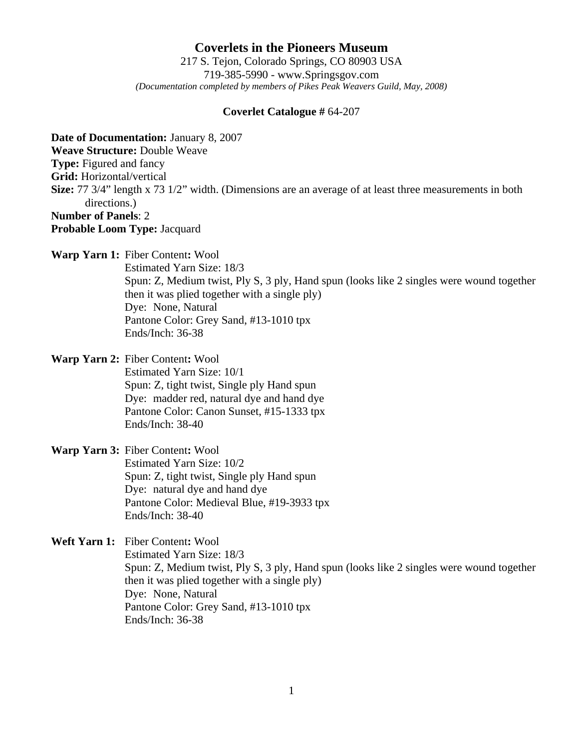**Coverlets in the Pioneers Museum** 217 S. Tejon, Colorado Springs, CO 80903 USA 719-385-5990 - www.Springsgov.com *(Documentation completed by members of Pikes Peak Weavers Guild, May, 2008)* 

## **Coverlet Catalogue #** 64-207

**Date of Documentation:** January 8, 2007 **Weave Structure:** Double Weave **Type:** Figured and fancy **Grid:** Horizontal/vertical **Size:** 77 3/4" length x 73 1/2" width. (Dimensions are an average of at least three measurements in both directions.) **Number of Panels**: 2 **Probable Loom Type:** Jacquard

**Warp Yarn 1:** Fiber Content**:** Wool

 Estimated Yarn Size: 18/3 Spun: Z, Medium twist, Ply S, 3 ply, Hand spun (looks like 2 singles were wound together then it was plied together with a single ply) Dye: None, Natural Pantone Color: Grey Sand, #13-1010 tpx Ends/Inch: 36-38

**Warp Yarn 2:** Fiber Content**:** Wool

 Estimated Yarn Size: 10/1 Spun: Z, tight twist, Single ply Hand spun Dye: madder red, natural dye and hand dye Pantone Color: Canon Sunset, #15-1333 tpx Ends/Inch: 38-40

**Warp Yarn 3:** Fiber Content**:** Wool Estimated Yarn Size: 10/2 Spun: Z, tight twist, Single ply Hand spun Dye: natural dye and hand dye Pantone Color: Medieval Blue, #19-3933 tpx Ends/Inch: 38-40

**Weft Yarn 1:** Fiber Content**:** Wool Estimated Yarn Size: 18/3 Spun: Z, Medium twist, Ply S, 3 ply, Hand spun (looks like 2 singles were wound together then it was plied together with a single ply) Dye: None, Natural Pantone Color: Grey Sand, #13-1010 tpx Ends/Inch: 36-38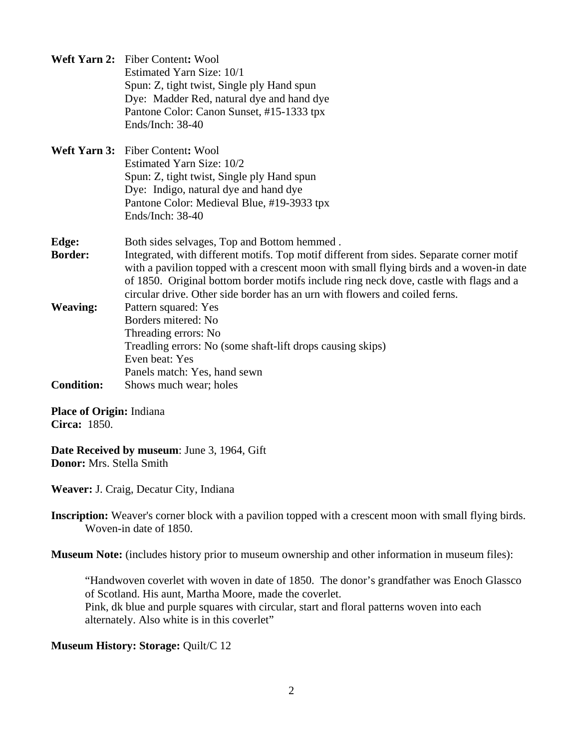|                   | Weft Yarn 2: Fiber Content: Wool                                                         |
|-------------------|------------------------------------------------------------------------------------------|
|                   | Estimated Yarn Size: 10/1                                                                |
|                   | Spun: Z, tight twist, Single ply Hand spun                                               |
|                   | Dye: Madder Red, natural dye and hand dye                                                |
|                   | Pantone Color: Canon Sunset, #15-1333 tpx                                                |
|                   | Ends/Inch: 38-40                                                                         |
|                   | Weft Yarn 3: Fiber Content: Wool                                                         |
|                   | Estimated Yarn Size: 10/2                                                                |
|                   | Spun: Z, tight twist, Single ply Hand spun                                               |
|                   | Dye: Indigo, natural dye and hand dye                                                    |
|                   | Pantone Color: Medieval Blue, #19-3933 tpx                                               |
|                   | Ends/Inch: 38-40                                                                         |
| Edge:             | Both sides selvages, Top and Bottom hemmed.                                              |
| <b>Border:</b>    | Integrated, with different motifs. Top motif different from sides. Separate corner motif |
|                   | with a pavilion topped with a crescent moon with small flying birds and a woven-in date  |
|                   | of 1850. Original bottom border motifs include ring neck dove, castle with flags and a   |
|                   | circular drive. Other side border has an urn with flowers and coiled ferns.              |
| <b>Weaving:</b>   | Pattern squared: Yes                                                                     |
|                   | Borders mitered: No                                                                      |
|                   | Threading errors: No                                                                     |
|                   | Treadling errors: No (some shaft-lift drops causing skips)                               |
|                   | Even beat: Yes                                                                           |
|                   | Panels match: Yes, hand sewn                                                             |
| <b>Condition:</b> | Shows much wear; holes                                                                   |

**Place of Origin:** Indiana **Circa:** 1850.

**Date Received by museum**: June 3, 1964, Gift **Donor:** Mrs. Stella Smith

**Weaver:** J. Craig, Decatur City, Indiana

**Inscription:** Weaver's corner block with a pavilion topped with a crescent moon with small flying birds. Woven-in date of 1850.

**Museum Note:** (includes history prior to museum ownership and other information in museum files):

"Handwoven coverlet with woven in date of 1850. The donor's grandfather was Enoch Glassco of Scotland. His aunt, Martha Moore, made the coverlet. Pink, dk blue and purple squares with circular, start and floral patterns woven into each alternately. Also white is in this coverlet"

**Museum History: Storage: Quilt/C 12**